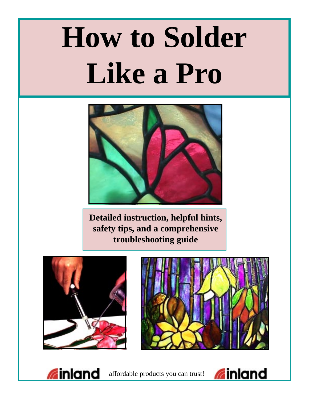# **How to Solder Like a Pro**



**Detailed instruction, helpful hints, safety tips, and a comprehensive troubleshooting guide**







**a** inland affordable products you can trust!

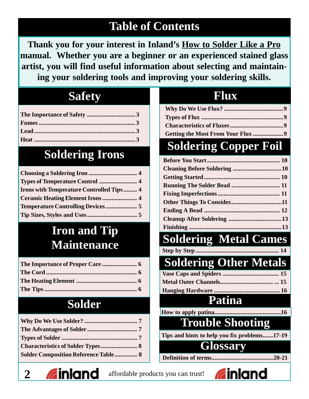# **Table of Contents**

**Thank you for your interest in Inland's How to Solder Like a Pro manual. Whether you are a beginner or an experienced stained glass artist, you will find useful information about selecting and maintaining your soldering tools and improving your soldering skills.**

| т | ъ |  |
|---|---|--|
|   |   |  |

# **Soldering Irons**

| <b>Irons with Temperature Controlled Tips 4</b> |  |
|-------------------------------------------------|--|
| Ceramic Heating Element Irons  4                |  |
|                                                 |  |
|                                                 |  |

# **Iron and Tip Maintenance**

# **Solder**

| <b>Solder Composition Reference Table 8</b> |  |
|---------------------------------------------|--|

# **Flux**

| Getting the Most From Your Flux 9 |  |
|-----------------------------------|--|

# **Soldering Copper Foil**

# **Soldering Metal Cames**

**Step by Step ..........** 

# **Soldering Other Metals**

# **Patina**

**How to apply patina...** 

# **Trouble Shooting**

**Tips and hints to help you fix problems.......17-19**

# **Glossary**

**Definition of terms.........................................20-21**

2 **Inland** affordable products you can trust!

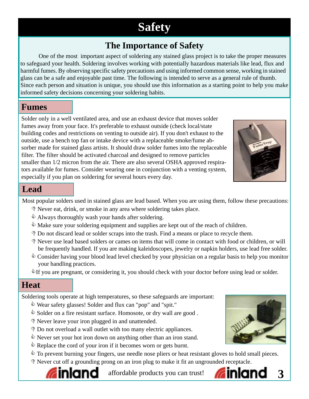# **Safety**

# **The Importance of Safety**

One of the most important aspect of soldering any stained glass project is to take the proper measures to safeguard your health. Soldering involves working with potentially hazardous materials like lead, flux and harmful fumes. By observing specific safety precautions and using informed common sense, working in stained glass can be a safe and enjoyable past time. The following is intended to serve as a general rule of thumb. Since each person and situation is unique, you should use this information as a starting point to help you make informed safety decisions concerning your soldering habits.

#### **Fumes**

Solder only in a well ventilated area, and use an exhaust device that moves solder fumes away from your face. It's preferable to exhaust outside (check local/state building codes and restrictions on venting to outside air). If you don't exhaust to the outside, use a bench top fan or intake device with a replaceable smoke/fume absorber made for stained glass artists. It should draw solder fumes into the replaceable filter. The filter should be activated charcoal and designed to remove particles smaller than 1/2 micron from the air. There are also several OSHA approved respirators available for fumes. Consider wearing one in conjunction with a venting system, especially if you plan on soldering for several hours every day.



#### **Lead**

Most popular solders used in stained glass are lead based. When you are using them, follow these precautions:

- **Never eat, drink, or smoke in any area where soldering takes place.**
- $\triangle$  Always thoroughly wash your hands after soldering.
- $\mathcal{L}$  Make sure your soldering equipment and supplies are kept out of the reach of children.
- **PO not discard lead or solder scraps into the trash. Find a means or place to recycle them.**
- **P** Never use lead based solders or cames on items that will come in contact with food or children, or will be frequently handled. If you are making kaleidoscopes, jewelry or napkin holders, use lead free solder.
- $\Diamond$  Consider having your blood lead level checked by your physician on a regular basis to help you monitor your handling practices.
- $\mathcal{L}$  If you are pregnant, or considering it, you should check with your doctor before using lead or solder.

#### **Heat**

Soldering tools operate at high temperatures, so these safeguards are important:

- $\mathcal{L}$  Wear safety glasses! Solder and flux can "pop" and "spit."
- $\bullet$  Solder on a fire resistant surface. Homosote, or dry wall are good.
- **P** Never leave your iron plugged in and unattended.
- **PO** not overload a wall outlet with too many electric appliances.
- $\Diamond$  Never set your hot iron down on anything other than an iron stand.
- $\Diamond$  Replace the cord of your iron if it becomes worn or gets burnt.
- $\Diamond$  To prevent burning your fingers, use needle nose pliers or heat resistant gloves to hold small pieces.
- **P** Never cut off a grounding prong on an iron plug to make it fit an ungrounded receptacle.

**nland** affordable products you can trust! **6** inland 3

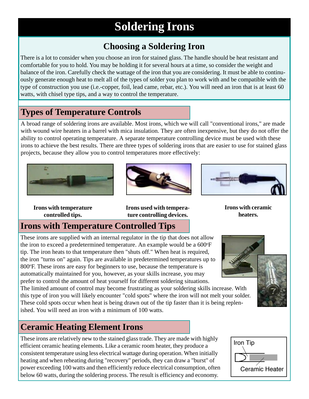# **Soldering Irons**

# **Choosing a Soldering Iron**

There is a lot to consider when you choose an iron for stained glass. The handle should be heat resistant and comfortable for you to hold. You may be holding it for several hours at a time, so consider the weight and balance of the iron. Carefully check the wattage of the iron that you are considering. It must be able to continuously generate enough heat to melt all of the types of solder you plan to work with and be compatible with the type of construction you use (i.e.-copper, foil, lead came, rebar, etc.). You will need an iron that is at least 60 watts, with chisel type tips, and a way to control the temperature.

#### **Types of Temperature Controls**

A broad range of soldering irons are available. Most irons, which we will call "conventional irons," are made with wound wire heaters in a barrel with mica insulation. They are often inexpensive, but they do not offer the ability to control operating temperature. A separate temperature controlling device must be used with these irons to achieve the best results. There are three types of soldering irons that are easier to use for stained glass projects, because they allow you to control temperatures more effectively:







**Irons with temperature controlled tips.**

#### **Irons used with temperature controlling devices.**

**Irons with ceramic heaters.**

# **Irons with Temperature Controlled Tips**

These irons are supplied with an internal regulator in the tip that does not allow the iron to exceed a predetermined temperature. An example would be a 600°F tip. The iron heats to that temperature then "shuts off." When heat is required, the iron "turns on" again. Tips are available in predetermined temperatures up to 800°F. These irons are easy for beginners to use, because the temperature is automatically maintained for you, however, as your skills increase, you may prefer to control the amount of heat yourself for different soldering situations.

The limited amount of control may become frustrating as your soldering skills increase. With this type of iron you will likely encounter "cold spots" where the iron will not melt your solder. These cold spots occur when heat is being drawn out of the tip faster than it is being replenished. You will need an iron with a minimum of 100 watts.

### **Ceramic Heating Element Irons**

These irons are relatively new to the stained glass trade. They are made with highly efficient ceramic heating elements. Like a ceramic room heater, they produce a consistent temperature using less electrical wattage during operation. When initially heating and when reheating during "recovery" periods, they can draw a "burst" of power exceeding 100 watts and then efficiently reduce electrical consumption, often below 60 watts, during the soldering process. The result is efficiency and economy.





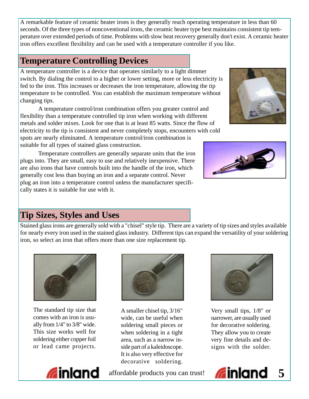A remarkable feature of ceramic heater irons is they generally reach operating temperature in less than 60 seconds. Of the three types of noncoventional irons, the ceramic heater type best maintains consistent tip temperature over extended periods of time. Problems with slow heat recovery generally don't exist. A ceramic heater iron offers excellent flexibility and can be used with a temperature controller if you like.

#### **Temperature Controlling Devices**

A temperature controller is a device that operates similarly to a light dimmer switch. By dialing the control to a higher or lower setting, more or less electricity is fed to the iron. This increases or decreases the iron temperature, allowing the tip temperature to be controlled. You can establish the maximum temperature without changing tips.

A temperature control/iron combination offers you greater control and flexibility than a temperature controlled tip iron when working with different metals and solder mixes. Look for one that is at least 85 watts. Since the flow of electricity to the tip is consistent and never completely stops, encounters with cold spots are nearly eliminated. A temperature control/iron combination is suitable for all types of stained glass construction.

Temperature controllers are generally separate units that the iron plugs into. They are small, easy to use and relatively inexpensive. There are also irons that have controls built into the handle of the iron, which generally cost less than buying an iron and a separate control. Never plug an iron into a temperature control unless the manufacturer specifically states it is suitable for use with it.





### **Tip Sizes, Styles and Uses**

Stained glass irons are generally sold with a "chisel" style tip. There are a variety of tip sizes and styles available for nearly every iron used in the stained glass industry. Different tips can expand the versatility of your soldering iron, so select an iron that offers more than one size replacement tip.



The standard tip size that comes with an iron is usually from 1/4" to 3/8" wide. This size works well for soldering either copper foil or lead came projects.



A smaller chisel tip, 3/16" wide, can be useful when soldering small pieces or when soldering in a tight area, such as a narrow inside part of a kaleidoscope. It is also very effective for decorative soldering.



Very small tips, 1/8" or narrower, are usually used for decorative soldering. They allow you to create very fine details and designs with the solder.

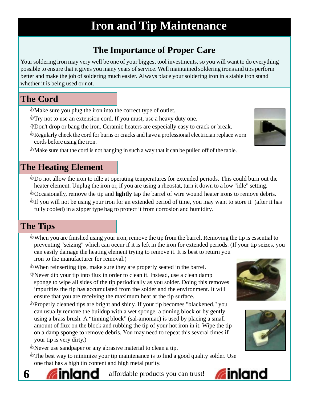# **Iron and Tip Maintenance**

# **The Importance of Proper Care**

Your soldering iron may very well be one of your biggest tool investments, so you will want to do everything possible to ensure that it gives you many years of service. Well maintained soldering irons and tips perform better and make the job of soldering much easier. Always place your soldering iron in a stable iron stand whether it is being used or not.

# **The Cord**

- $\mathbb{Q}$  Make sure you plug the iron into the correct type of outlet.
- $\degree$ Try not to use an extension cord. If you must, use a heavy duty one.
- DDon't drop or bang the iron. Ceramic heaters are especially easy to crack or break.
- $\triangle$  Regularly check the cord for burns or cracks and have a professional electrician replace worn cords before using the iron.
- $\mathbb{R}$  Make sure that the cord is not hanging in such a way that it can be pulled off of the table.

### **The Heating Element**

- $\bullet$  Do not allow the iron to idle at operating temperatures for extended periods. This could burn out the heater element. Unplug the iron or, if you are using a rheostat, turn it down to a low "idle" setting.
- ©Occasionally, remove the tip and **lightly** tap the barrel of wire wound heater irons to remove debris.
- If you will not be using your iron for an extended period of time, you may want to store it (after it has fully cooled) in a zipper type bag to protect it from corrosion and humidity.

# **The Tips**

- $\mathbb Q$  When you are finished using your iron, remove the tip from the barrel. Removing the tip is essential to preventing "seizing" which can occur if it is left in the iron for extended periods. (If your tip seizes, you can easily damage the heating element trying to remove it. It is best to return you iron to the manufacturer for removal.)
- When reinserting tips, make sure they are properly seated in the barrel.
- DNever dip your tip into flux in order to clean it. Instead, use a clean damp sponge to wipe all sides of the tip periodically as you solder. Doing this removes impurities the tip has accumulated from the solder and the environment. It will ensure that you are receiving the maximum heat at the tip surface.
- Properly cleaned tips are bright and shiny. If your tip becomes "blackened," you can usually remove the buildup with a wet sponge, a tinning block or by gently using a brass brush. A "tinning block" (sal-amoniac) is used by placing a small amount of flux on the block and rubbing the tip of your hot iron in it. Wipe the tip on a damp sponge to remove debris. You may need to repeat this several times if your tip is very dirty.)
- Never use sandpaper or any abrasive material to clean a tip.
- $\mathcal{L}$ The best way to minimize your tip maintenance is to find a good quality solder. Use one that has a high tin content and high metal purity.



**6 Inland** affordable products you can trust!







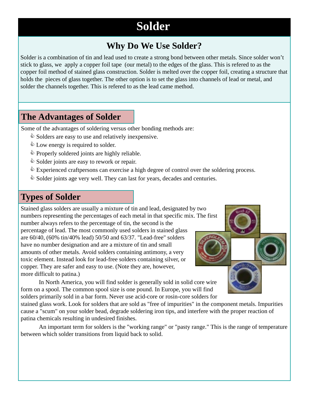# **Solder**

### **Why Do We Use Solder?**

Solder is a combination of tin and lead used to create a strong bond between other metals. Since solder won't stick to glass, we apply a copper foil tape (our metal) to the edges of the glass. This is refered to as the copper foil method of stained glass construction. Solder is melted over the copper foil, creating a structure that holds the pieces of glass together. The other option is to set the glass into channels of lead or metal, and solder the channels together. This is refered to as the lead came method.

#### **The Advantages of Solder**

Some of the advantages of soldering versus other bonding methods are:

- $\Diamond$  Solders are easy to use and relatively inexpensive.
- $\&$  Low energy is required to solder.
- $\Diamond$  Properly soldered joints are highly reliable.
- $\Diamond$  Solder joints are easy to rework or repair.
- $\mathcal{L}$  Experienced craftpersons can exercise a high degree of control over the soldering process.
- $\mathcal{L}$  Solder joints age very well. They can last for years, decades and centuries.

#### **Types of Solder**

Stained glass solders are usually a mixture of tin and lead, designated by two numbers representing the percentages of each metal in that specific mix. The first number always refers to the percentage of tin, the second is the percentage of lead. The most commonly used solders in stained glass are 60/40, (60% tin/40% lead) 50/50 and 63/37. "Lead-free" solders have no number designation and are a mixture of tin and small amounts of other metals. Avoid solders containing antimony, a very toxic element. Instead look for lead-free solders containing silver, or copper. They are safer and easy to use. (Note they are, however, more difficult to patina.)

In North America, you will find solder is generally sold in solid core wire form on a spool. The common spool size is one pound. In Europe, you will find solders primarily sold in a bar form. Never use acid-core or rosin-core solders for

stained glass work. Look for solders that are sold as "free of impurities" in the component metals. Impurities cause a "scum" on your solder bead, degrade soldering iron tips, and interfere with the proper reaction of patina chemicals resulting in undesired finishes.

An important term for solders is the "working range" or "pasty range." This is the range of temperature between which solder transitions from liquid back to solid.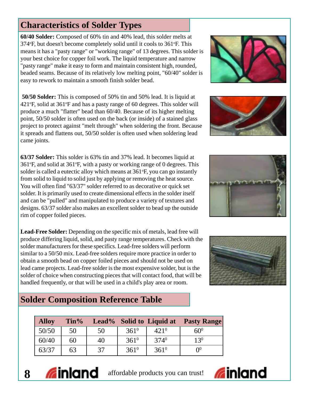### **Characteristics of Solder Types**

**60/40 Solder:** Composed of 60% tin and 40% lead, this solder melts at 374°F, but doesn't become completely solid until it cools to 361°F. This means it has a "pasty range" or "working range" of 13 degrees. This solder is your best choice for copper foil work. The liquid temperature and narrow "pasty range" make it easy to form and maintain consistent high, rounded, beaded seams. Because of its relatively low melting point, "60/40" solder is easy to rework to maintain a smooth finish solder bead.

**50/50 Solder:** This is composed of 50% tin and 50% lead. It is liquid at 421°F, solid at 361°F and has a pasty range of 60 degrees. This solder will produce a much "flatter" bead than 60/40. Because of its higher melting point, 50/50 solder is often used on the back (or inside) of a stained glass project to protect against "melt through" when soldering the front. Because it spreads and flattens out, 50/50 solder is often used when soldering lead came joints.

**63/37 Solder:** This solder is 63% tin and 37% lead. It becomes liquid at 361°F, and solid at 361°F, with a pasty or working range of 0 degrees. This solder is called a eutectic alloy which means at 361°F, you can go instantly from solid to liquid to solid just by applying or removing the heat source. You will often find "63/37" solder referred to as decorative or quick set solder. It is primarily used to create dimensional effects in the solder itself and can be "pulled" and manipulated to produce a variety of textures and designs. 63/37 solder also makes an excellent solder to bead up the outside rim of copper foiled pieces.

**Lead-Free Solder:** Depending on the specific mix of metals, lead free will produce differing liquid, solid, and pasty range temperatures. Check with the solder manufacturers for these specifics. Lead-free solders will perform similar to a 50/50 mix. Lead-free solders require more practice in order to obtain a smooth bead on copper foiled pieces and should not be used on lead came projects. Lead-free solder is the most expensive solder, but is the solder of choice when constructing pieces that will contact food, that will be handled frequently, or that will be used in a child's play area or room.

# **Solder Composition Reference Table**

| <b>Alloy</b> | $\mathrm{Tin} \%$ |    |               |               | Lead% Solid to Liquid at Pasty Range |
|--------------|-------------------|----|---------------|---------------|--------------------------------------|
| 50/50        | 50                | 50 | $361^{\circ}$ | $421^{0}$     | $60^{0}$                             |
| 60/40        | 60                | 40 | $361^0$       | 3740          | $13^{0}$                             |
| 63/37        | 63                | 37 | $361^0$       | $361^{\circ}$ | $\Omega^0$                           |











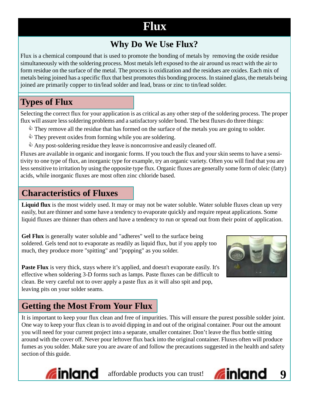# **Flux**

# **Why Do We Use Flux?**

Flux is a chemical compound that is used to promote the bonding of metals by removing the oxide residue simultaneously with the soldering process. Most metals left exposed to the air around us react with the air to form residue on the surface of the metal. The process is oxidization and the residues are oxides. Each mix of metals being joined has a specific flux that best promotes this bonding process. In stained glass, the metals being joined are primarily copper to tin/lead solder and lead, brass or zinc to tin/lead solder.

### **Types of Flux**

Selecting the correct flux for your application is as critical as any other step of the soldering process. The proper flux will assure less soldering problems and a satisfactory solder bond. The best fluxes do three things:

- $\Diamond$  They remove all the residue that has formed on the surface of the metals you are going to solder.
- $\Diamond$  They prevent oxides from forming while you are soldering.
- $\Diamond$  Any post-soldering residue they leave is noncorrosive and easily cleaned off.

Fluxes are available in organic and inorganic forms. If you touch the flux and your skin seems to have a sensitivity to one type of flux, an inorganic type for example, try an organic variety. Often you will find that you are less sensitive to irritation by using the opposite type flux. Organic fluxes are generally some form of oleic (fatty) acids, while inorganic fluxes are most often zinc chloride based.

#### **Characteristics of Fluxes**

**Liquid flux** is the most widely used. It may or may not be water soluble. Water soluble fluxes clean up very easily, but are thinner and some have a tendency to evaporate quickly and require repeat applications. Some liquid fluxes are thinner than others and have a tendency to run or spread out from their point of application.

**Gel Flux** is generally water soluble and "adheres" well to the surface being soldered. Gels tend not to evaporate as readily as liquid flux, but if you apply too much, they produce more "spitting" and "popping" as you solder.



**Paste Flux** is very thick, stays where it's applied, and doesn't evaporate easily. It's effective when soldering 3-D forms such as lamps. Paste fluxes can be difficult to clean. Be very careful not to over apply a paste flux as it will also spit and pop, leaving pits on your solder seams.

# **Getting the Most From Your Flux**

It is important to keep your flux clean and free of impurities. This will ensure the purest possible solder joint. One way to keep your flux clean is to avoid dipping in and out of the original container. Pour out the amount you will need for your current project into a separate, smaller container. Don't leave the flux bottle sitting around with the cover off. Never pour leftover flux back into the original container. Fluxes often will produce fumes as you solder. Make sure you are aware of and follow the precautions suggested in the health and safety section of this guide.



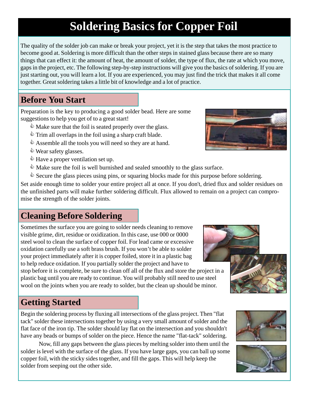# **Soldering Basics for Copper Foil**

The quality of the solder job can make or break your project, yet it is the step that takes the most practice to become good at. Soldering is more difficult than the other steps in stained glass because there are so many things that can effect it: the amount of heat, the amount of solder, the type of flux, the rate at which you move, gaps in the project, etc. The following step-by-step instructions will give you the basics of soldering. If you are just starting out, you will learn a lot. If you are experienced, you may just find the trick that makes it all come together. Great soldering takes a little bit of knowledge and a lot of practice.

# **Before You Start**

Preparation is the key to producing a good solder bead. Here are some suggestions to help you get of to a great start!

- $\mathcal{L}$  Make sure that the foil is seated properly over the glass.
- $\Diamond$  Trim all overlaps in the foil using a sharp craft blade.
- $\Diamond$  Assemble all the tools you will need so they are at hand.
- $\mathbb{Q}$  Wear safety glasses.
- $\mathcal{L}$  Have a proper ventilation set up.
- $\mathcal{L}$  Make sure the foil is well burnished and sealed smoothly to the glass surface.
- $\mathcal{L}$  Secure the glass pieces using pins, or squaring blocks made for this purpose before soldering.

Set aside enough time to solder your entire project all at once. If you don't, dried flux and solder residues on the unfinished parts will make further soldering difficult. Flux allowed to remain on a project can compromise the strength of the solder joints.

# **Cleaning Before Soldering**

Sometimes the surface you are going to solder needs cleaning to remove visible grime, dirt, residue or oxidization. In this case, use 000 or 0000 steel wool to clean the surface of copper foil. For lead came or excessive oxidation carefully use a soft brass brush. If you won't be able to solder your project immediately after it is copper foiled, store it in a plastic bag to help reduce oxidation. If you partially solder the project and have to

stop before it is complete, be sure to clean off all of the flux and store the project in a plastic bag until you are ready to continue. You will probably still need to use steel wool on the joints when you are ready to solder, but the clean up should be minor.

# **Getting Started**

Begin the soldering process by fluxing all intersections of the glass project. Then "flat tack" solder these intersections together by using a very small amount of solder and the flat face of the iron tip. The solder should lay flat on the intersection and you shouldn't have any beads or bumps of solder on the piece. Hence the name "flat-tack" soldering.

Now, fill any gaps between the glass pieces by melting solder into them until the solder is level with the surface of the glass. If you have large gaps, you can ball up some copper foil, with the sticky sides together, and fill the gaps. This will help keep the solder from seeping out the other side.







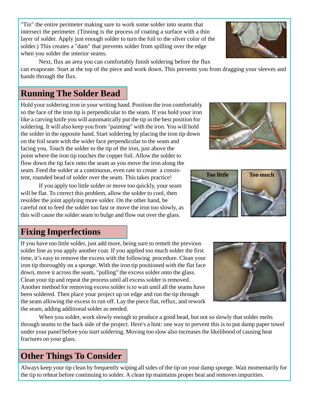"Tin" the entire perimeter making sure to work some solder into seams that intersect the perimeter. (Tinning is the process of coating a surface with a thin layer of solder. Apply just enough solder to turn the foil to the silver color of the solder.) This creates a "dam" that prevents solder from spilling over the edge when you solder the interior seams.

Next, flux an area you can comfortably finish soldering before the flux can evaporate. Start at the top of the piece and work down. This prevents you from dragging your sleeves and hands through the flux.

# **Running The Solder Bead**

Hold your soldering iron in your writing hand. Position the iron comfortably so the face of the iron tip is perpendicular to the seam. If you hold your iron like a carving knife you will automatically put the tip in the best position for soldering. It will also keep you from "painting" with the iron. You will hold the solder in the opposite hand. Start soldering by placing the iron tip down on the foil seam with the wider face perpendicular to the seam and facing you. Touch the solder to the tip of the iron, just above the point where the iron tip touches the copper foil. Allow the solder to flow down the tip face onto the seam as you move the iron along the seam. Feed the solder at a continuous, even rate to create a consistent, rounded bead of solder over the seam. This takes practice!

If you apply too little solder or move too quickly, your seam will be flat. To correct this problem, allow the solder to cool, then resolder the joint applying more solder. On the other hand, be careful not to feed the solder too fast or move the iron too slowly, as this will cause the solder seam to bulge and flow out over the glass.

# **Fixing Imperfections**

If you have too little solder, just add more, being sure to remelt the previous solder line as you apply another coat. If you applied too much solder the first time, it's easy to remove the excess with the following procedure. Clean your iron tip thoroughly on a sponge. With the iron tip positioned with the flat face down, move it across the seam, "pulling" the excess solder onto the glass. Clean your tip and repeat the process until all excess solder is removed. Another method for removing excess solder is to wait until all the seams have been soldered. Then place your project up on edge and run the tip through the seam allowing the excess to run off. Lay the piece flat, reflux, and rework the seam, adding additional solder as needed.

When you solder, work slowly enough to produce a good bead, but not so slowly that solder melts through seams to the back side of the project. Here's a hint: one way to prevent this is to put damp paper towel under your panel before you start soldering. Moving too slow also increases the likelihood of causing heat fractures on your glass.

# **Other Things To Consider**

Always keep your tip clean by frequently wiping all sides of the tip on your damp sponge. Wait momentarily for the tip to reheat before continuing to solder. A clean tip maintains proper heat and removes impurities.







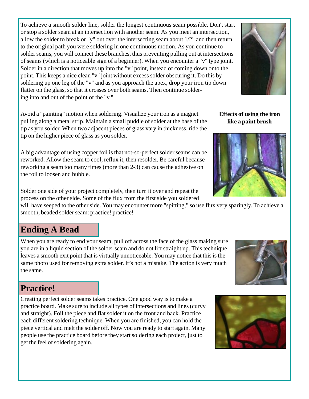To achieve a smooth solder line, solder the longest continuous seam possible. Don't start or stop a solder seam at an intersection with another seam. As you meet an intersection, allow the solder to break or "y" out over the intersecting seam about 1/2" and then return to the original path you were soldering in one continuous motion. As you continue to solder seams, you will connect these branches, thus preventing pulling out at intersections of seams (which is a noticeable sign of a beginner). When you encounter a "v" type joint. Solder in a direction that moves up into the "v" point, instead of coming down onto the point. This keeps a nice clean "v" joint without excess solder obscuring it. Do this by soldering up one leg of the "v" and as you approach the apex, drop your iron tip down flatter on the glass, so that it crosses over both seams. Then continue soldering into and out of the point of the "v."

Avoid a "painting" motion when soldering. Visualize your iron as a magnet pulling along a metal strip. Maintain a small puddle of solder at the base of the tip as you solder. When two adjacent pieces of glass vary in thickness, ride the tip on the higher piece of glass as you solder.

A big advantage of using copper foil is that not-so-perfect solder seams can be reworked. Allow the seam to cool, reflux it, then resolder. Be careful because reworking a seam too many times (more than 2-3) can cause the adhesive on the foil to loosen and bubble.

Solder one side of your project completely, then turn it over and repeat the process on the other side. Some of the flux from the first side you soldered

will have seeped to the other side. You may encounter more "spitting," so use flux very sparingly. To achieve a smooth, beaded solder seam: practice! practice!

#### **Ending A Bead**

When you are ready to end your seam, pull off across the face of the glass making sure you are in a liquid section of the solder seam and do not lift straight up. This technique leaves a smooth exit point that is virtually unnoticeable. You may notice that this is the same photo used for removing extra solder. It's not a mistake. The action is very much the same.

#### **Practice!**

Creating perfect solder seams takes practice. One good way is to make a practice board. Make sure to include all types of intersections and lines (curvy and straight). Foil the piece and flat solder it on the front and back. Practice each different soldering technique. When you are finished, you can hold the piece vertical and melt the solder off. Now you are ready to start again. Many people use the practice board before they start soldering each project, just to get the feel of soldering again.

**Effects of using the iron like a paint brush**









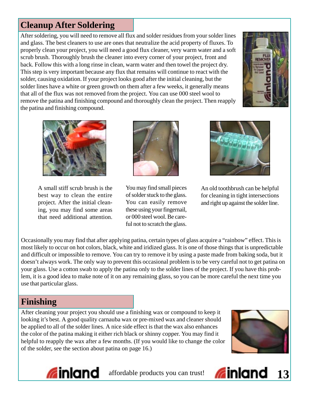# **Cleanup After Soldering**

After soldering, you will need to remove all flux and solder residues from your solder lines and glass. The best cleaners to use are ones that neutralize the acid property of fluxes. To properly clean your project, you will need a good flux cleaner, very warm water and a soft scrub brush. Thoroughly brush the cleaner into every corner of your project, front and back. Follow this with a long rinse in clean, warm water and then towel the project dry. This step is very important because any flux that remains will continue to react with the solder, causing oxidation. If your project looks good after the initial cleaning, but the solder lines have a white or green growth on them after a few weeks, it generally means that all of the flux was not removed from the project. You can use 000 steel wool to remove the patina and finishing compound and thoroughly clean the project. Then reapply the patina and finishing compound.





A small stiff scrub brush is the best way to clean the entire project. After the initial cleaning, you may find some areas that need additional attention.



You may find small pieces of solder stuck to the glass. You can easily remove these using your fingernail, or 000 steel wool. Be careful not to scratch the glass.



An old toothbrush can be helpful for cleaning in tight intersections and right up against the solder line.

Occasionally you may find that after applying patina, certain types of glass acquire a "rainbow" effect. This is most likely to occur on hot colors, black, white and iridized glass. It is one of those things that is unpredictable and difficult or impossible to remove. You can try to remove it by using a paste made from baking soda, but it doesn't always work. The only way to prevent this occasional problem is to be very careful not to get patina on your glass. Use a cotton swab to apply the patina only to the solder lines of the project. If you have this problem, it is a good idea to make note of it on any remaining glass, so you can be more careful the next time you use that particular glass.

### **Finishing**

After cleaning your project you should use a finishing wax or compound to keep it looking it's best. A good quality carnauba wax or pre-mixed wax and cleaner should be applied to all of the solder lines. A nice side effect is that the wax also enhances the color of the patina making it either rich black or shinny copper. You may find it helpful to reapply the wax after a few months. (If you would like to change the color of the solder, see the section about patina on page 16.)





**affordable products you can trust!** 

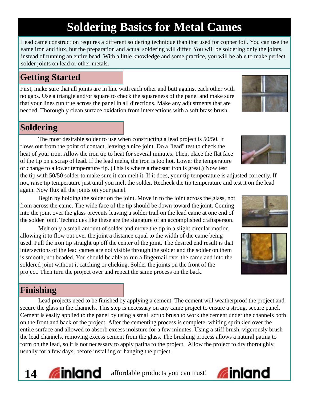# **Soldering Basics for Metal Cames**

Lead came construction requires a different soldering technique than that used for copper foil. You can use the same iron and flux, but the preparation and actual soldering will differ. You will be soldering only the joints, instead of running an entire bead. With a little knowledge and some practice, you will be able to make perfect solder joints on lead or other metals.

### **Getting Started**

First, make sure that all joints are in line with each other and butt against each other with no gaps. Use a triangle and/or square to check the squareness of the panel and make sure that your lines run true across the panel in all directions. Make any adjustments that are needed. Thoroughly clean surface oxidation from intersections with a soft brass brush.

### **Soldering**

The most desirable solder to use when constructing a lead project is 50/50. It flows out from the point of contact, leaving a nice joint. Do a "lead" test to check the heat of your iron. Allow the iron tip to heat for several minutes. Then, place the flat face of the tip on a scrap of lead. If the lead melts, the iron is too hot. Lower the temperature or change to a lower temperature tip. (This is where a rheostat iron is great.) Now test

the tip with 50/50 solder to make sure it can melt it. If it does, your tip temperature is adjusted correctly. If not, raise tip temperature just until you melt the solder. Recheck the tip temperature and test it on the lead again. Now flux all the joints on your panel.

Begin by holding the solder on the joint. Move in to the joint across the glass, not from across the came. The wide face of the tip should be down toward the joint. Coming into the joint over the glass prevents leaving a solder trail on the lead came at one end of the solder joint. Techniques like these are the signature of an accomplished craftsperson.

Melt only a small amount of solder and move the tip in a slight circular motion allowing it to flow out over the joint a distance equal to the width of the came being used. Pull the iron tip straight up off the center of the joint. The desired end result is that intersections of the lead cames are not visible through the solder and the solder on them is smooth, not beaded. You should be able to run a fingernail over the came and into the soldered joint without it catching or clicking. Solder the joints on the front of the project. Then turn the project over and repeat the same process on the back.

# **Finishing**

Lead projects need to be finished by applying a cement. The cement will weatherproof the project and secure the glass in the channels. This step is necessary on any came project to ensure a strong, secure panel. Cement is easily applied to the panel by using a small scrub brush to work the cement under the channels both on the front and back of the project. After the cementing process is complete, whiting sprinkled over the entire surface and allowed to absorb excess moisture for a few minutes. Using a stiff brush, vigerously brush the lead channels, removing excess cement from the glass. The brushing process allows a natural patina to form on the lead, so it is not necessary to apply patina to the project. Allow the project to dry thoroughly, usually for a few days, before installing or hanging the project.







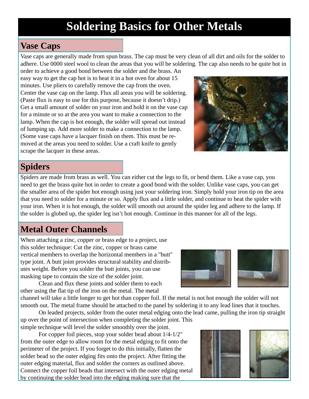# **Soldering Basics for Other Metals**

#### **Vase Caps**

Vase caps are generally made from spun brass. The cap must be very clean of all dirt and oils for the solder to adhere. Use 0000 steel wool to clean the areas that you will be soldering. The cap also needs to be quite hot in

order to achieve a good bond between the solder and the brass. An easy way to get the cap hot is to heat it in a hot oven for about 15 minutes. Use pliers to carefully remove the cap from the oven. Center the vase cap on the lamp. Flux all areas you will be soldering. (Paste flux is easy to use for this purpose, because it doesn't drip.) Get a small amount of solder on your iron and hold it on the vase cap for a minute or so at the area you want to make a connection to the lamp. When the cap is hot enough, the solder will spread out instead of lumping up. Add more solder to make a connection to the lamp. (Some vase caps have a lacquer finish on them. This must be removed at the areas you need to solder. Use a craft knife to gently scrape the lacquer in these areas.



### **Spiders**

Spiders are made from brass as well. You can either cut the legs to fit, or bend them. Like a vase cap, you need to get the brass quite hot in order to create a good bond with the solder. Unlike vase caps, you can get the smaller area of the spider hot enough using just your soldering iron. Simply hold your iron tip on the area that you need to solder for a minute or so. Apply flux and a little solder, and continue to heat the spider with your iron. When it is hot enough, the solder will smooth out around the spider leg and adhere to the lamp. If the solder is globed up, the spider leg isn't hot enough. Continue in this manner for all of the legs.

#### **Metal Outer Channels**

When attaching a zinc, copper or brass edge to a project, use this solder technique: Cut the zinc, copper or brass came vertical members to overlap the horizontal members in a "butt" type joint. A butt joint provides structural stability and distributes weight. Before you solder the butt joints, you can use masking tape to contain the size of the solder joint.

Clean and flux these joints and solder them to each other using the flat tip of the iron on the metal. The metal

channel will take a little longer to get hot than copper foil. If the metal is not hot enough the solder will not smooth out. The metal frame should be attached to the panel by soldering it to any lead lines that it touches. On leaded projects, solder from the outer metal edging onto the lead came, pulling the iron tip straight

up over the point of intersection when completing the solder joint. This simple technique will level the solder smoothly over the joint.

For copper foil pieces, stop your solder bead about 1/4-1/2" from the outer edge to allow room for the metal edging to fit onto the perimeter of the project. If you forget to do this initially, flatten the solder bead so the outer edging fits onto the project. After fitting the outer edging material, flux and solder the corners as outlined above. Connect the copper foil beads that intersect with the outer edging metal by continuing the solder bead into the edging making sure that the





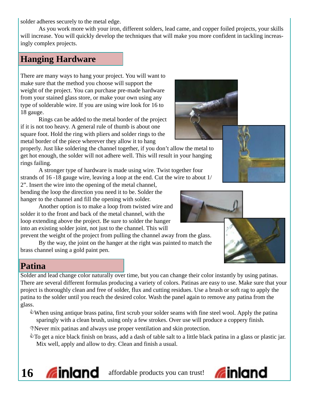solder adheres securely to the metal edge.

As you work more with your iron, different solders, lead came, and copper foiled projects, your skills will increase. You will quickly develop the techniques that will make you more confident in tackling increasingly complex projects.

#### **Hanging Hardware**

There are many ways to hang your project. You will want to make sure that the method you choose will support the weight of the project. You can purchase pre-made hardware from your stained glass store, or make your own using any type of solderable wire. If you are using wire look for 16 to 18 gauge.

Rings can be added to the metal border of the project if it is not too heavy. A general rule of thumb is about one square foot. Hold the ring with pliers and solder rings to the metal border of the piece wherever they allow it to hang

properly. Just like soldering the channel together, if you don't allow the metal to get hot enough, the solder will not adhere well. This will result in your hanging rings failing.

A stronger type of hardware is made using wire. Twist together four strands of 16 -18 gauge wire, leaving a loop at the end. Cut the wire to about 1/

2". Insert the wire into the opening of the metal channel, bending the loop the direction you need it to be. Solder the hanger to the channel and fill the opening with solder.

Another option is to make a loop from twisted wire and solder it to the front and back of the metal channel, with the loop extending above the project. Be sure to solder the hanger into an existing solder joint, not just to the channel. This will

prevent the weight of the project from pulling the channel away from the glass. By the way, the joint on the hanger at the right was painted to match the brass channel using a gold paint pen.

#### **Patina**

Solder and lead change color naturally over time, but you can change their color instantly by using patinas. There are several different formulas producing a variety of colors. Patinas are easy to use. Make sure that your project is thoroughly clean and free of solder, flux and cutting residues. Use a brush or soft rag to apply the patina to the solder until you reach the desired color. Wash the panel again to remove any patina from the glass.

When using antique brass patina, first scrub your solder seams with fine steel wool. Apply the patina sparingly with a clean brush, using only a few strokes. Over use will produce a coppery finish.

DNever mix patinas and always use proper ventilation and skin protection.

 $\degree$ To get a nice black finish on brass, add a dash of table salt to a little black patina in a glass or plastic jar. Mix well, apply and allow to dry. Clean and finish a usual.









**Ginland**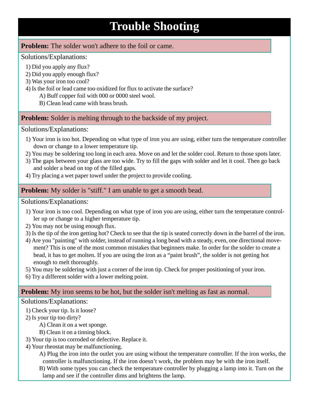# **Trouble Shooting**

#### **Problem:** The solder won't adhere to the foil or came.

#### Solutions/Explanations:

- 1) Did you apply any flux?
- 2) Did you apply enough flux?
- 3) Was your iron too cool?
- 4) Is the foil or lead came too oxidized for flux to activate the surface?
	- A) Buff copper foil with 000 or 0000 steel wool.
	- B) Clean lead came with brass brush.

#### **Problem:** Solder is melting through to the backside of my project.

#### Solutions/Explanations:

- 1) Your iron is too hot. Depending on what type of iron you are using, either turn the temperature controller down or change to a lower temperature tip.
- 2) You may be soldering too long in each area. Move on and let the solder cool. Return to those spots later.
- 3) The gaps between your glass are too wide. Try to fill the gaps with solder and let it cool. Then go back and solder a bead on top of the filled gaps.
- 4) Try placing a wet paper towel under the project to provide cooling.

#### **Problem:** My solder is "stiff." I am unable to get a smooth bead.

#### Solutions/Explanations:

- 1) Your iron is too cool. Depending on what type of iron you are using, either turn the temperature controller up or change to a higher temperature tip.
- 2) You may not be using enough flux.
- 3) Is the tip of the iron getting hot? Check to see that the tip is seated correctly down in the barrel of the iron.
- 4) Are you "painting" with solder, instead of running a long bead with a steady, even, one directional movement? This is one of the most common mistakes that beginners make. In order for the solder to create a bead, it has to get molten. If you are using the iron as a "paint brush", the solder is not getting hot enough to melt thoroughly.
- 5) You may be soldering with just a corner of the iron tip. Check for proper positioning of your iron.
- 6) Try a different solder with a lower melting point.

#### **Problem:** My iron seems to be hot, but the solder isn't melting as fast as normal.

#### Solutions/Explanations:

- 1) Check your tip. Is it loose?
- 2) Is your tip too dirty?
	- A) Clean it on a wet sponge.
	- B) Clean it on a tinning block.
- 3) Your tip is too corroded or defective. Replace it.
- 4) Your rheostat may be malfunctioning.
	- A) Plug the iron into the outlet you are using without the temperature controller. If the iron works, the controller is malfunctioning. If the iron doesn't work, the problem may be with the iron itself.
	- B) With some types you can check the temperature controller by plugging a lamp into it. Turn on the lamp and see if the controller dims and brightens the lamp.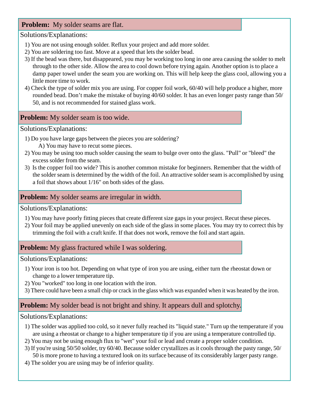#### **Problem:** My solder seams are flat.

Solutions/Explanations:

- 1) You are not using enough solder. Reflux your project and add more solder.
- 2) You are soldering too fast. Move at a speed that lets the solder bead.
- 3) If the bead was there, but disappeared, you may be working too long in one area causing the solder to melt through to the other side. Allow the area to cool down before trying again. Another option is to place a damp paper towel under the seam you are working on. This will help keep the glass cool, allowing you a little more time to work.
- 4) Check the type of solder mix you are using. For copper foil work, 60/40 will help produce a higher, more rounded bead. Don't make the mistake of buying 40/60 solder. It has an even longer pasty range than 50/ 50, and is not recommended for stained glass work.

#### **Problem:** My solder seam is too wide.

Solutions/Explanations:

- 1) Do you have large gaps between the pieces you are soldering? A) You may have to recut some pieces.
- 2) You may be using too much solder causing the seam to bulge over onto the glass. "Pull" or "bleed" the excess solder from the seam.
- 3) Is the copper foil too wide? This is another common mistake for beginners. Remember that the width of the solder seam is determined by the width of the foil. An attractive solder seam is accomplished by using a foil that shows about 1/16" on both sides of the glass.

#### **Problem:** My solder seams are irregular in width.

Solutions/Explanations:

- 1) You may have poorly fitting pieces that create different size gaps in your project. Recut these pieces.
- 2) Your foil may be applied unevenly on each side of the glass in some places. You may try to correct this by trimming the foil with a craft knife. If that does not work, remove the foil and start again.

#### **Problem:** My glass fractured while I was soldering.

Solutions/Explanations:

- 1) Your iron is too hot. Depending on what type of iron you are using, either turn the rheostat down or change to a lower temperature tip.
- 2) You "worked" too long in one location with the iron.
- 3) There could have been a small chip or crack in the glass which was expanded when it was heated by the iron.

#### **Problem:** My solder bead is not bright and shiny. It appears dull and splotchy.

Solutions/Explanations:

- 1) The solder was applied too cold, so it never fully reached its "liquid state." Turn up the temperature if you are using a rheostat or change to a higher temperature tip if you are using a temperature controlled tip.
- 2) You may not be using enough flux to "wet" your foil or lead and create a proper solder condition.
- 3) If you're using 50/50 solder, try 60/40. Because solder crystallizes as it cools through the pasty range, 50/ 50 is more prone to having a textured look on its surface because of its considerably larger pasty range.
- 4) The solder you are using may be of inferior quality.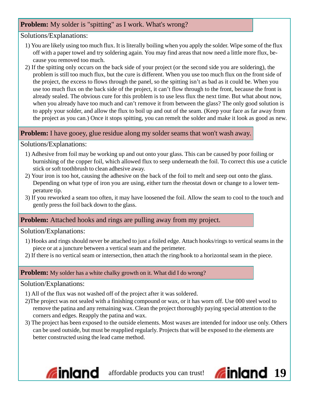#### **Problem:** My solder is "spitting" as I work. What's wrong?

#### Solutions/Explanations:

- 1) You are likely using too much flux. It is literally boiling when you apply the solder. Wipe some of the flux off with a paper towel and try soldering again. You may find areas that now need a little more flux, because you removed too much.
- 2) If the spitting only occurs on the back side of your project (or the second side you are soldering), the problem is still too much flux, but the cure is different. When you use too much flux on the front side of the project, the excess to flows through the panel, so the spitting isn't as bad as it could be. When you use too much flux on the back side of the project, it can't flow through to the front, because the front is already sealed. The obvious cure for this problem is to use less flux the next time. But what about now, when you already have too much and can't remove it from between the glass? The only good solution is to apply your solder, and allow the flux to boil up and out of the seam. (Keep your face as far away from the project as you can.) Once it stops spitting, you can remelt the solder and make it look as good as new.

#### **Problem:** I have gooey, glue residue along my solder seams that won't wash away.

Solutions/Explanations:

- 1) Adhesive from foil may be working up and out onto your glass. This can be caused by poor foiling or burnishing of the copper foil, which allowed flux to seep underneath the foil. To correct this use a cuticle stick or soft toothbrush to clean adhesive away.
- 2) Your iron is too hot, causing the adhesive on the back of the foil to melt and seep out onto the glass. Depending on what type of iron you are using, either turn the rheostat down or change to a lower temperature tip.
- 3) If you reworked a seam too often, it may have loosened the foil. Allow the seam to cool to the touch and gently press the foil back down to the glass.

#### **Problem:** Attached hooks and rings are pulling away from my project.

#### Solution/Explanations:

- 1) Hooks and rings should never be attached to just a foiled edge. Attach hooks/rings to vertical seams in the piece or at a juncture between a vertical seam and the perimeter.
- 2) If there is no vertical seam or intersection, then attach the ring/hook to a horizontal seam in the piece.

#### **Problem:** My solder has a white chalky growth on it. What did I do wrong?

#### Solution/Explanations:

- 1) All of the flux was not washed off of the project after it was soldered.
- 2)The project was not sealed with a finishing compound or wax, or it has worn off. Use 000 steel wool to remove the patina and any remaining wax. Clean the project thoroughly paying special attention to the corners and edges. Reapply the patina and wax.
- 3) The project has been exposed to the outside elements. Most waxes are intended for indoor use only. Others can be used outside, but must be reapplied regularly. Projects that will be exposed to the elements are better constructed using the lead came method.



**affordable products you can trust!** 

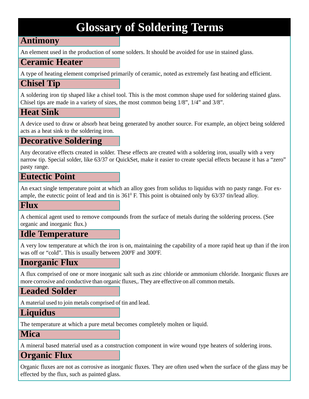# **Glossary of Soldering Terms**

#### **Antimony**

An element used in the production of some solders. It should be avoided for use in stained glass.

#### **Ceramic Heater**

A type of heating element comprised primarily of ceramic, noted as extremely fast heating and efficient.

#### **Chisel Tip**

A soldering iron tip shaped like a chisel tool. This is the most common shape used for soldering stained glass. Chisel tips are made in a variety of sizes, the most common being 1/8", 1/4" and 3/8".

#### **Heat Sink**

A device used to draw or absorb heat being generated by another source. For example, an object being soldered acts as a heat sink to the soldering iron.

#### **Decorative Soldering**

Any decorative effects created in solder. These effects are created with a soldering iron, usually with a very narrow tip. Special solder, like 63/37 or QuickSet, make it easier to create special effects because it has a "zero" pasty range.

#### **Eutectic Point**

An exact single temperature point at which an alloy goes from solidus to liquidus with no pasty range. For example, the eutectic point of lead and tin is  $361^{\circ}$  F. This point is obtained only by  $63/37$  tin/lead alloy.

#### **Flux**

A chemical agent used to remove compounds from the surface of metals during the soldering process. (See organic and inorganic flux.)

#### **Idle Temperature**

A very low temperature at which the iron is on, maintaining the capability of a more rapid heat up than if the iron was off or "cold". This is usually between 200<sup>o</sup>F and 300<sup>o</sup>F.

#### **Inorganic Flux**

A flux comprised of one or more inorganic salt such as zinc chloride or ammonium chloride. Inorganic fluxes are more corrosive and conductive than organic fluxes,. They are effective on all common metals.

#### **Leaded Solder**

A material used to join metals comprised of tin and lead.

#### **Liquidus**

The temperature at which a pure metal becomes completely molten or liquid.

#### **Mica**

A mineral based material used as a construction component in wire wound type heaters of soldering irons.

#### **Organic Flux**

Organic fluxes are not as corrosive as inorganic fluxes. They are often used when the surface of the glass may be effected by the flux, such as painted glass.